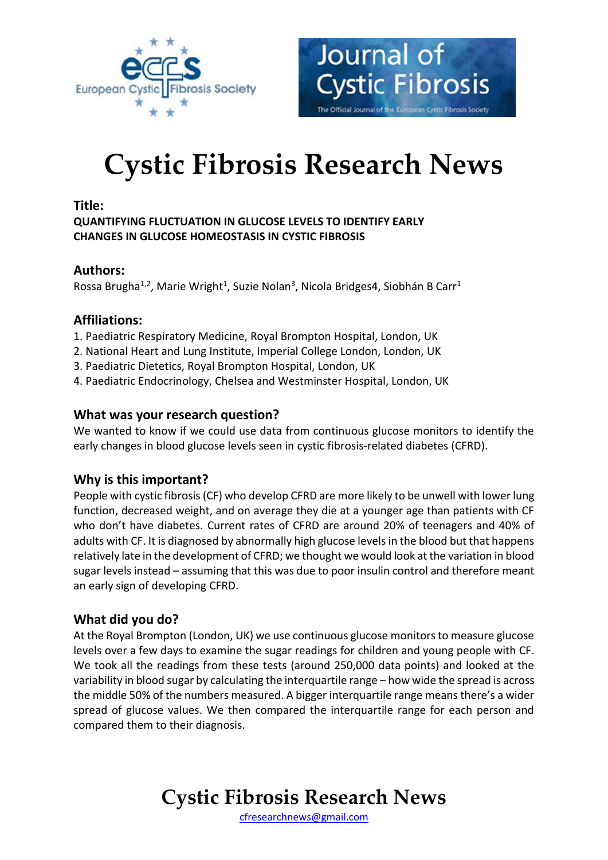



# **Cystic Fibrosis Research News**

#### **Title:**

**QUANTIFYING FLUCTUATION IN GLUCOSE LEVELS TO IDENTIFY EARLY CHANGES IN GLUCOSE HOMEOSTASIS IN CYSTIC FIBROSIS**

### **Authors:**

Rossa Brugha<sup>1,2</sup>, Marie Wright<sup>1</sup>, Suzie Nolan<sup>3</sup>, Nicola Bridges4, Siobhán B Carr<sup>1</sup>

### **Affiliations:**

- 1. Paediatric Respiratory Medicine, Royal Brompton Hospital, London, UK
- 2. National Heart and Lung Institute, Imperial College London, London, UK
- 3. Paediatric Dietetics, Royal Brompton Hospital, London, UK
- 4. Paediatric Endocrinology, Chelsea and Westminster Hospital, London, UK

### **What was your research question?**

We wanted to know if we could use data from continuous glucose monitors to identify the early changes in blood glucose levels seen in cystic fibrosis-related diabetes (CFRD).

### **Why is this important?**

People with cystic fibrosis (CF) who develop CFRD are more likely to be unwell with lower lung function, decreased weight, and on average they die at a younger age than patients with CF who don't have diabetes. Current rates of CFRD are around 20% of teenagers and 40% of adults with CF. It is diagnosed by abnormally high glucose levels in the blood but that happens relatively late in the development of CFRD; we thought we would look at the variation in blood sugar levels instead – assuming that this was due to poor insulin control and therefore meant an early sign of developing CFRD.

### **What did you do?**

At the Royal Brompton (London, UK) we use continuous glucose monitors to measure glucose levels over a few days to examine the sugar readings for children and young people with CF. We took all the readings from these tests (around 250,000 data points) and looked at the variability in blood sugar by calculating the interquartile range – how wide the spread is across the middle 50% of the numbers measured. A bigger interquartile range means there's a wider spread of glucose values. We then compared the interquartile range for each person and compared them to their diagnosis.

### **Cystic Fibrosis Research News**

[cfresearchnews@gmail.com](mailto:cfresearchnews@gmail.com)